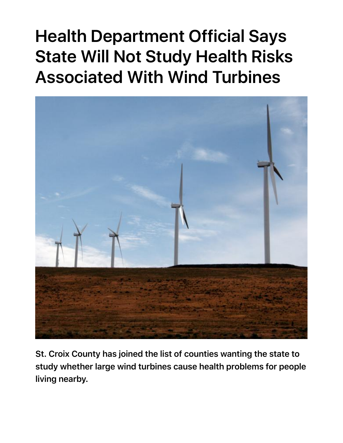## **Health Department Official Says State Will Not Study Health Risks Associated With Wind Turbines**



**St. Croix County has joined the list of counties wanting the state to study whether large wind turbines cause health problems for people living nearby.**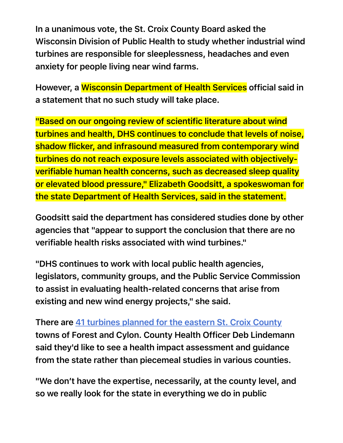**In a unanimous vote, the St. Croix County Board asked the Wisconsin Division of Public Health to study whether industrial wind turbines are responsible for sleeplessness, headaches and even anxiety for people living near wind farms.**

**However, a Wisconsin Department of Health Services official said in a statement that no such study will take place.**

**"Based on our ongoing review of scientific literature about wind turbines and health, DHS continues to conclude that levels of noise, shadow flicker, and infrasound measured from contemporary wind turbines do not reach exposure levels associated with objectivelyverifiable human health concerns, such as decreased sleep quality or elevated blood pressure," Elizabeth Goodsitt, a spokeswoman for the state Department of Health Services, said in the statement.**

**Goodsitt said the department has considered studies done by other agencies that "appear to support the conclusion that there are no verifiable health risks associated with wind turbines."**

**"DHS continues to work with local public health agencies, legislators, community groups, and the Public Service Commission to assist in evaluating health-related concerns that arise from existing and new wind energy projects," she said.**

**There are 41 turbines planned for the eastern St. Croix County towns of Forest and Cylon. County Health Officer Deb Lindemann said they'd like to see a health impact assessment and guidance from the state rather than piecemeal studies in various counties.**

**"We don't have the expertise, necessarily, at the county level, and so we really look for the state in everything we do in public**